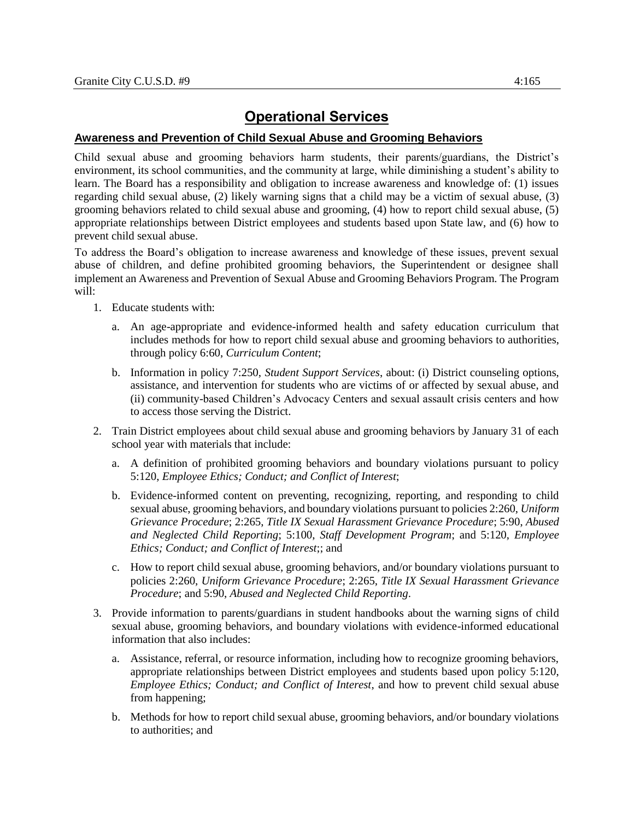## **Operational Services**

## **Awareness and Prevention of Child Sexual Abuse and Grooming Behaviors**

Child sexual abuse and grooming behaviors harm students, their parents/guardians, the District's environment, its school communities, and the community at large, while diminishing a student's ability to learn. The Board has a responsibility and obligation to increase awareness and knowledge of: (1) issues regarding child sexual abuse, (2) likely warning signs that a child may be a victim of sexual abuse, (3) grooming behaviors related to child sexual abuse and grooming, (4) how to report child sexual abuse, (5) appropriate relationships between District employees and students based upon State law, and (6) how to prevent child sexual abuse.

To address the Board's obligation to increase awareness and knowledge of these issues, prevent sexual abuse of children, and define prohibited grooming behaviors, the Superintendent or designee shall implement an Awareness and Prevention of Sexual Abuse and Grooming Behaviors Program. The Program will:

- 1. Educate students with:
	- a. An age-appropriate and evidence-informed health and safety education curriculum that includes methods for how to report child sexual abuse and grooming behaviors to authorities, through policy 6:60, *Curriculum Content*;
	- b. Information in policy 7:250, *Student Support Services*, about: (i) District counseling options, assistance, and intervention for students who are victims of or affected by sexual abuse, and (ii) community-based Children's Advocacy Centers and sexual assault crisis centers and how to access those serving the District.
- 2. Train District employees about child sexual abuse and grooming behaviors by January 31 of each school year with materials that include:
	- a. A definition of prohibited grooming behaviors and boundary violations pursuant to policy 5:120, *Employee Ethics; Conduct; and Conflict of Interest*;
	- b. Evidence-informed content on preventing, recognizing, reporting, and responding to child sexual abuse, grooming behaviors, and boundary violations pursuant to policies 2:260, *Uniform Grievance Procedure*; 2:265, *Title IX Sexual Harassment Grievance Procedure*; 5:90, *Abused and Neglected Child Reporting*; 5:100, *Staff Development Program*; and 5:120, *Employee Ethics; Conduct; and Conflict of Interest*;; and
	- c. How to report child sexual abuse, grooming behaviors, and/or boundary violations pursuant to policies 2:260, *Uniform Grievance Procedure*; 2:265, *Title IX Sexual Harassment Grievance Procedure*; and 5:90, *Abused and Neglected Child Reporting*.
- 3. Provide information to parents/guardians in student handbooks about the warning signs of child sexual abuse, grooming behaviors, and boundary violations with evidence-informed educational information that also includes:
	- a. Assistance, referral, or resource information, including how to recognize grooming behaviors, appropriate relationships between District employees and students based upon policy 5:120, *Employee Ethics; Conduct; and Conflict of Interest*, and how to prevent child sexual abuse from happening;
	- b. Methods for how to report child sexual abuse, grooming behaviors, and/or boundary violations to authorities; and